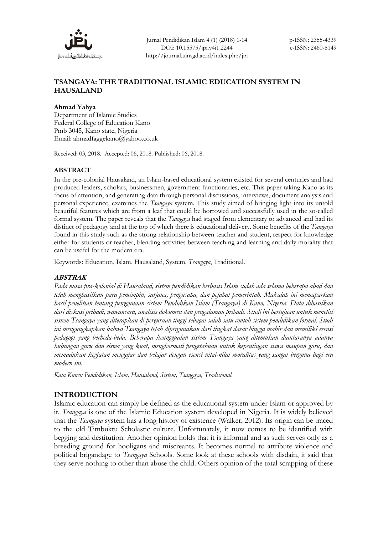

# **TSANGAYA: THE TRADITIONAL ISLAMIC EDUCATION SYSTEM IN HAUSALAND**

### **Ahmad Yahya**

Department of Islamic Studies Federal College of Education Kano Pmb 3045, Kano state, Nigeria Email: [ahmadfaggekano@yahoo.co.uk](mailto:ahmadfaggekano@yahoo.co.uk)

Received: 03, 2018. Accepted: 06, 2018. Published: 06, 2018.

### **ABSTRACT**

In the pre-colonial Hausaland, an Islam-based educational system existed for several centuries and had produced leaders, scholars, businessmen, government functionaries, etc. This paper taking Kano as its focus of attention, and generating data through personal discussions, interviews, document analysis and personal experience, examines the *Tsangaya* system. This study aimed of bringing light into its untold beautiful features which are from a leaf that could be borrowed and successfully used in the so-called formal system. The paper reveals that the *Tsangaya* had staged from elementary to advanced and had its distinct of pedagogy and at the top of which there is educational delivery. Some benefits of the *Tsangaya* found in this study such as the strong relationship between teacher and student, respect for knowledge either for students or teacher, blending activities between teaching and learning and daily morality that can be useful for the modern era.

Keywords: Education, Islam, Hausaland, System, *Tsangaya*, Traditional.

### **ABSTRAK**

*Pada masa pra-kolonial di Hausaland, sistem pendidikan berbasis Islam sudah ada selama beberapa abad dan telah menghasilkan para pemimpin, sarjana, pengusaha, dan pejabat pemerintah. Makalah ini memaparkan hasil penelitian tentang penggunaan sistem Pendidikan Islam (Tsangaya) di Kano, Nigeria. Data dihasilkan dari diskusi pribadi, wawancara, analisis dokumen dan pengalaman pribadi. Studi ini bertujuan untuk meneliti sistem Tsangaya yang diterapkan di perguruan tinggi sebagai salah satu contoh sistem pendidikan formal. Studi ini mengungkapkan bahwa Tsangaya telah dipergunakan dari tingkat dasar hingga mahir dan memiliki esensi pedagogi yang berbeda-beda. Beberapa keunggualan sistem Tsangaya yang ditemukan diantaranya adanya hubungan guru dan siswa yang kuat, menghormati pengetahuan untuk kepentingan siswa maupun guru, dan memadukan kegiatan mengajar dan belajar dengan esensi nilai-nilai moralitas yang sangat berguna bagi era modern ini.* 

*Kata Kunci: Pendidikan, Islam, Hausaland, Sistem, Tsangaya, Tradisional.*

### **INTRODUCTION**

Islamic education can simply be defined as the educational system under Islam or approved by it. *Tsangaya* is one of the Islamic Education system developed in Nigeria. It is widely believed that the *Tsangaya* system has a long history of existence (Walker, 2012). Its origin can be traced to the old Timbuktu Scholastic culture. Unfortunately, it now comes to be identified with begging and destitution. Another opinion holds that it is informal and as such serves only as a breeding ground for hooligans and miscreants. It becomes normal to attribute violence and political brigandage to *Tsangaya* Schools. Some look at these schools with disdain, it said that they serve nothing to other than abuse the child. Others opinion of the total scrapping of these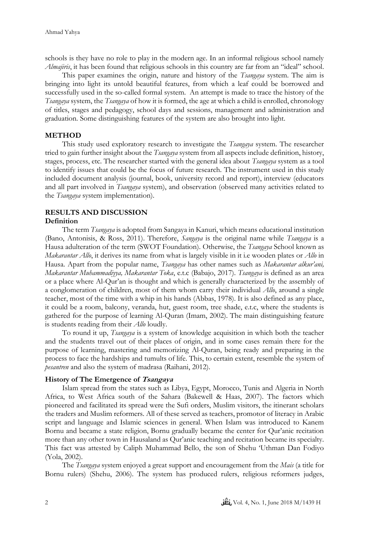schools is they have no role to play in the modern age. In an informal religious school namely *Almajiris*, it has been found that religious schools in this country are far from an "ideal" school.

This paper examines the origin, nature and history of the *Tsangaya* system. The aim is bringing into light its untold beautiful features, from which a leaf could be borrowed and successfully used in the so-called formal system. An attempt is made to trace the history of the *Tsangaya* system, the *Tsangaya* of how it is formed, the age at which a child is enrolled, chronology of titles, stages and pedagogy, school days and sessions, management and administration and graduation. Some distinguishing features of the system are also brought into light.

### **METHOD**

This study used exploratory research to investigate the *Tsangaya* system. The researcher tried to gain further insight about the *Tsangaya* system from all aspects include definition, history, stages, process, etc. The researcher started with the general idea about *Tsangaya* system as a tool to identify issues that could be the focus of future research. The instrument used in this study included document analysis (journal, book, university record and report), interview (educators and all part involved in *Tsangaya* system), and observation (observed many activities related to the *Tsangaya* system implementation).

# **RESULTS AND DISCUSSION**

### **Definition**

The term *Tsangaya* is adopted from Sangaya in Kanuri, which means educational institution (Bano, Antonisis, & Ross, 2011). Therefore, *Sangaya* is the original name while *Tsangaya* is a Hausa adulteration of the term (SWOT Foundation). Otherwise, the *Tsangaya* School known as *Makarantar Allo*, it derives its name from what is largely visible in it i.e wooden plates or *Allo* in Hausa. Apart from the popular name, *Tsangaya* has other names such as *Makarantar alkur'ani, Makarantar Muhammadiyya, Makarantar Toka*, e.t.c (Babajo, 2017). *Tsangaya* is defined as an area or a place where Al-Qur'an is thought and which is generally characterized by the assembly of a conglomeration of children, most of them whom carry their individual *Allo*, around a single teacher, most of the time with a whip in his hands (Abbas, 1978). It is also defined as any place, it could be a room, balcony, veranda, hut, guest room, tree shade, e.t.c, where the students is gathered for the purpose of learning Al-Quran (Imam, 2002). The main distinguishing feature is students reading from their *Allo* loudly.

To round it up, *Tsangaya* is a system of knowledge acquisition in which both the teacher and the students travel out of their places of origin, and in some cases remain there for the purpose of learning, mastering and memorizing Al-Quran, being ready and preparing in the process to face the hardships and tumults of life. This, to certain extent, resemble the system of *pesantren* and also the system of madrasa (Raihani, 2012).

### **History of The Emergence of Tsangaya**

Islam spread from the states such as Libya, Egypt, Morocco, Tunis and Algeria in North Africa, to West Africa south of the Sahara (Bakewell & Haas, 2007). The factors which pioneered and facilitated its spread were the Sufi orders, Muslim visitors, the itinerant scholars the traders and Muslim reformers. All of these served as teachers, promotor of literacy in Arabic script and language and Islamic sciences in general. When Islam was introduced to Kanem Bornu and became a state religion, Bornu gradually became the center for Qur'anic recitation more than any other town in Hausaland as Qur'anic teaching and recitation became its specialty. This fact was attested by Caliph Muhammad Bello, the son of Shehu 'Uthman Dan Fodiyo (Yola, 2002).

The *Tsangaya* system enjoyed a great support and encouragement from the *Mais* (a title for Bornu rulers) (Shehu, 2006). The system has produced rulers, religious reformers judges,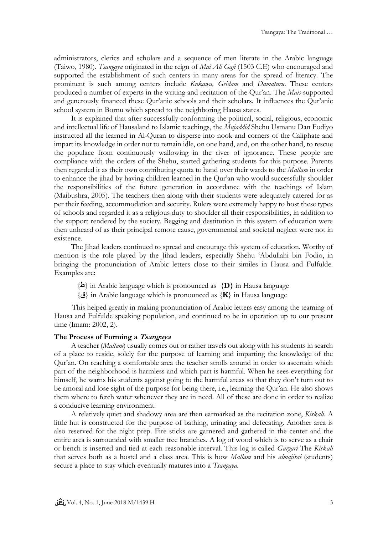administrators, clerics and scholars and a sequence of men literate in the Arabic language (Taiwo, 1980). *Tsangaya* originated in the reign of *Mai Ali Gaji* (1503 C.E) who encouraged and supported the establishment of such centers in many areas for the spread of literacy. The prominent is such among centers include *Kukawa, Geidam* and *Damaturu*. These centers produced a number of experts in the writing and recitation of the Qur'an. The *Mais* supported and generously financed these Qur'anic schools and their scholars. It influences the Qur'anic school system in Bornu which spread to the neighboring Hausa states.

It is explained that after successfully conforming the political, social, religious, economic and intellectual life of Hausaland to Islamic teachings, the *Mujaddid* Shehu Usmanu Dan Fodiyo instructed all the learned in Al-Quran to disperse into nook and corners of the Caliphate and impart its knowledge in order not to remain idle, on one hand, and, on the other hand, to rescue the populace from continuously wallowing in the river of ignorance. These people are compliance with the orders of the Shehu, started gathering students for this purpose. Parents then regarded it as their own contributing quota to hand over their wards to the *Mallam* in order to enhance the jihad by having children learned in the Qur'an who would successfully shoulder the responsibilities of the future generation in accordance with the teachings of Islam (Maibushra, 2005). The teachers then along with their students were adequately catered for as per their feeding, accommodation and security. Rulers were extremely happy to host these types of schools and regarded it as a religious duty to shoulder all their responsibilities, in addition to the support rendered by the society. Begging and destitution in this system of education were then unheard of as their principal remote cause, governmental and societal neglect were not in existence.

The Jihad leaders continued to spread and encourage this system of education. Worthy of mention is the role played by the Jihad leaders, especially Shehu 'Abdullahi bin Fodio, in bringing the pronunciation of Arabic letters close to their similes in Hausa and Fulfulde. Examples are:

- $\{\triangle\}$  in Arabic language which is pronounced as  $\{D\}$  in Hausa language
- {**ق** {in Arabic language which is pronounced as {**Ҝ**} in Hausa language

This helped greatly in making pronunciation of Arabic letters easy among the teaming of Hausa and Fulfulde speaking population, and continued to be in operation up to our present time (Imam: 2002, 2).

#### **The Process of Forming a Tsangaya**

A teacher (*Mallam*) usually comes out or rather travels out along with his students in search of a place to reside, solely for the purpose of learning and imparting the knowledge of the Qur'an. On reaching a comfortable area the teacher strolls around in order to ascertain which part of the neighborhood is harmless and which part is harmful. When he sees everything for himself, he warns his students against going to the harmful areas so that they don't turn out to be amoral and lose sight of the purpose for being there, i.e., learning the Qur'an. He also shows them where to fetch water whenever they are in need. All of these are done in order to realize a conducive learning environment.

A relatively quiet and shadowy area are then earmarked as the recitation zone, *Kiskali*. A little hut is constructed for the purpose of bathing, urinating and defecating. Another area is also reserved for the night prep. Fire sticks are garnered and gathered in the center and the entire area is surrounded with smaller tree branches. A log of wood which is to serve as a chair or bench is inserted and tied at each reasonable interval. This log is called *Gargari* The *Kiskali* that serves both as a hostel and a class area. This is how *Mallam* and his *almajirai* (students) secure a place to stay which eventually matures into a *Tsangaya*.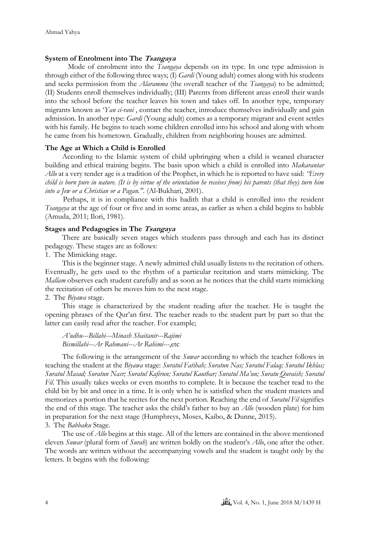### **System of Enrolment into The Tsangaya**

Mode of enrolment into the *Tsangaya* depends on its type. In one type admission is through either of the following three ways; (I) *Gardi* (Young adult) comes along with his students and seeks permission from the *Alaramma* (the overall teacher of the *Tsangaya*) to be admitted; (II) Students enroll themselves individually; (III) Parents from different areas enroll their wards into the school before the teacher leaves his town and takes off. In another type, temporary migrants known as '*Yan ci-rani* , contact the teacher, introduce themselves individually and gain admission. In another type: *Gardi* (Young adult) comes as a temporary migrant and event settles with his family. He begins to teach some children enrolled into his school and along with whom he came from his hometown. Gradually, children from neighboring houses are admitted.

### **The Age at Which a Child is Enrolled**

According to the Islamic system of child upbringing when a child is weaned character building and ethical training begins. The basis upon which a child is enrolled into *Makarantar Allo* at a very tender age is a tradition of the Prophet, in which he is reported to have said: *"Every child is born pure in nature. (It is by virtue of the orientation he receives from) his parents (that they) turn him into a Jew or a Christian or a Pagan.''.* (Al-Bukhari, 2001).

Perhaps, it is in compliance with this hadith that a child is enrolled into the resident *Tsangaya* at the age of four or five and in some areas, as earlier as when a child begins to babble (Amuda, 2011; Ilori, 1981).

### **Stages and Pedagogies in The Tsangaya**

There are basically seven stages which students pass through and each has its distinct pedagogy. These stages are as follows:

1. The Mimicking stage.

This is the beginner stage. A newly admitted child usually listens to the recitation of others. Eventually, he gets used to the rhythm of a particular recitation and starts mimicking. The *Mallam* observes each student carefully and as soon as he notices that the child starts mimicking the recitation of others he moves him to the next stage.

2. The *Biyawa* stage.

This stage is characterized by the student reading after the teacher. He is taught the opening phrases of the Qur'an first. The teacher reads to the student part by part so that the latter can easily read after the teacher. For example;

*A'udhu---Billahi---Minash Shaitanir---Rajimi Bismillahi---Ar Rahmani---Ar Rahimi---*,etc

The following is the arrangement of the *Suwar* according to which the teacher follows in teaching the student at the *Biyawa* stage: *Suratul Fatihah; Suratun Nas; Suratul Falaq; Suratul Ikhlas; Suratul Masad; Suratun Nasr; Suratul Kafirun; Suratul Kauthar; Suratul Ma'un; Suratu Quraish; Suratul Fil.* This usually takes weeks or even months to complete. It is because the teacher read to the child bit by bit and once in a time. It is only when he is satisfied when the student masters and memorizes a portion that he recites for the next portion. Reaching the end of *Suratul Fil* signifies the end of this stage. The teacher asks the child's father to buy an *Allo* (wooden plate) for him in preparation for the next stage (Humphreys, Moses, Kaibo, & Dunne, 2015).

3. The *Babbaku* Stage.

The use of *Allo* begins at this stage. All of the letters are contained in the above mentioned eleven *Suwar* (plural form of *Surah*) are written boldly on the student's *Allo*, one after the other. The words are written without the accompanying vowels and the student is taught only by the letters. It begins with the following: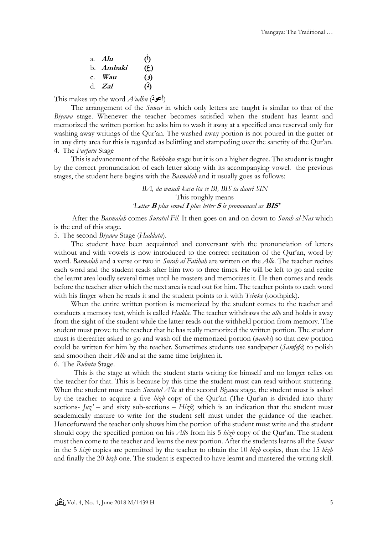| a. $Alu$         | $\mathcal{O}$                |
|------------------|------------------------------|
| b. <i>Ambaki</i> | (5)                          |
| c. <i>Wau</i>    | $\left( \mathfrak{e}\right)$ |
| d. $Zal$         | (4)                          |

This makes up the word *A'udhu* (**أعوذ**(

The arrangement of the *Suwar* in which only letters are taught is similar to that of the *Biyawa* stage. Whenever the teacher becomes satisfied when the student has learnt and memorized the written portion he asks him to wash it away at a specified area reserved only for washing away writings of the Qur'an. The washed away portion is not poured in the gutter or in any dirty area for this is regarded as belittling and stampeding over the sanctity of the Qur'an. 4. The *Farfaru* Stage

This is advancement of the *Babbaku* stage but it is on a higher degree. The student is taught by the correct pronunciation of each letter along with its accompanying vowel. the previous stages, the student here begins with the *Basmalah* and it usually goes as follows:

> *BA, da wasali kasa ita ce BI, BIS ta dauri SIN* This roughly means *'Letter* **<sup>B</sup>** *plus vowel* **<sup>I</sup>** *plus letter* **<sup>S</sup>** *is pronounced as* **BIS'**

After the *Basmalah* comes *Suratul Fil*. It then goes on and on down to *Surah al-Nas* which is the end of this stage.

5. The second *Biyawa* Stage (*Haddatu*).

The student have been acquainted and conversant with the pronunciation of letters without and with vowels is now introduced to the correct recitation of the Qur'an, word by word. *Basmalah* and a verse or two in *Surah al Fatihah* are written on the *Allo.* The teacher recites each word and the student reads after him two to three times. He will be left to go and recite the learnt area loudly several times until he masters and memorizes it. He then comes and reads before the teacher after which the next area is read out for him. The teacher points to each word with his finger when he reads it and the student points to it with *Tsinke* (toothpick).

When the entire written portion is memorized by the student comes to the teacher and conducts a memory test, which is called *Hadda.* The teacher withdraws the *allo* and holds it away from the sight of the student while the latter reads out the withheld portion from memory. The student must prove to the teacher that he has really memorized the written portion. The student must is thereafter asked to go and wash off the memorized portion (*wanki*) so that new portion could be written for him by the teacher. Sometimes students use sandpaper (*Samfefa*) to polish and smoothen their *Allo* and at the same time brighten it. 6. The *Rubutu* Stage.

This is the stage at which the student starts writing for himself and no longer relies on the teacher for that. This is because by this time the student must can read without stuttering. When the student must reach *Suratul A'la* at the second *Biyawa* stage, the student must is asked by the teacher to acquire a five *hizb* copy of the Qur'an (The Qur'an is divided into thirty sections-  $Ju\chi'$  – and sixty sub-sections –  $Hiz\psi$ ) which is an indication that the student must academically mature to write for the student self must under the guidance of the teacher. Henceforward the teacher only shows him the portion of the student must write and the student should copy the specified portion on his *Allo* from his 5 *hizb* copy of the Qur'an. The student must then come to the teacher and learns the new portion. After the students learns all the *Suwar*  in the 5 *hizb* copies are permitted by the teacher to obtain the 10 *hizb* copies, then the 15 *hizb* and finally the 20 *hizb* one. The student is expected to have learnt and mastered the writing skill.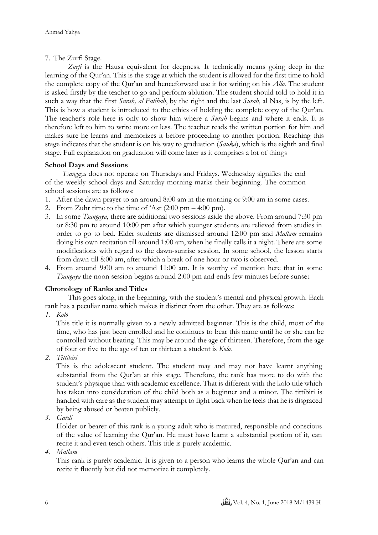# 7. The Zurfi Stage.

*Zurfi* is the Hausa equivalent for deepness. It technically means going deep in the learning of the Qur'an. This is the stage at which the student is allowed for the first time to hold the complete copy of the Qur'an and henceforward use it for writing on his *Allo*. The student is asked firstly by the teacher to go and perform ablution. The student should told to hold it in such a way that the first *Surah, al Fatihah*, by the right and the last *Surah*, al Nas, is by the left. This is how a student is introduced to the ethics of holding the complete copy of the Qur'an. The teacher's role here is only to show him where a *Surah* begins and where it ends. It is therefore left to him to write more or less. The teacher reads the written portion for him and makes sure he learns and memorizes it before proceeding to another portion. Reaching this stage indicates that the student is on his way to graduation (*Sauka*), which is the eighth and final stage. Full explanation on graduation will come later as it comprises a lot of things

# **School Days and Sessions**

*Tsangaya* does not operate on Thursdays and Fridays. Wednesday signifies the end of the weekly school days and Saturday morning marks their beginning. The common school sessions are as follows:

- 1. After the dawn prayer to an around 8:00 am in the morning or 9:00 am in some cases.
- 2. From Zuhr time to the time of 'Asr  $(2:00 \text{ pm} 4:00 \text{ pm})$ .
- 3. In some *Tsangaya*, there are additional two sessions aside the above. From around 7:30 pm or 8:30 pm to around 10:00 pm after which younger students are relieved from studies in order to go to bed. Elder students are dismissed around 12:00 pm and *Mallam* remains doing his own recitation till around 1:00 am, when he finally calls it a night. There are some modifications with regard to the dawn-sunrise session. In some school, the lesson starts from dawn till 8:00 am, after which a break of one hour or two is observed.
- 4. From around 9:00 am to around 11:00 am. It is worthy of mention here that in some *Tsangaya* the noon session begins around 2:00 pm and ends few minutes before sunset

### **Chronology of Ranks and Titles**

This goes along, in the beginning, with the student's mental and physical growth. Each rank has a peculiar name which makes it distinct from the other. They are as follows:

*1. Kolo*

This title it is normally given to a newly admitted beginner. This is the child, most of the time, who has just been enrolled and he continues to bear this name until he or she can be controlled without beating. This may be around the age of thirteen. Therefore, from the age of four or five to the age of ten or thirteen a student is *Kolo.*

*2. Tittibiri*

This is the adolescent student. The student may and may not have learnt anything substantial from the Qur'an at this stage. Therefore, the rank has more to do with the student's physique than with academic excellence. That is different with the kolo title which has taken into consideration of the child both as a beginner and a minor. The tittibiri is handled with care as the student may attempt to fight back when he feels that he is disgraced by being abused or beaten publicly.

*3. Gardi*

Holder or bearer of this rank is a young adult who is matured, responsible and conscious of the value of learning the Qur'an. He must have learnt a substantial portion of it, can recite it and even teach others. This title is purely academic.

*4. Mallam*

This rank is purely academic. It is given to a person who learns the whole Qur'an and can recite it fluently but did not memorize it completely.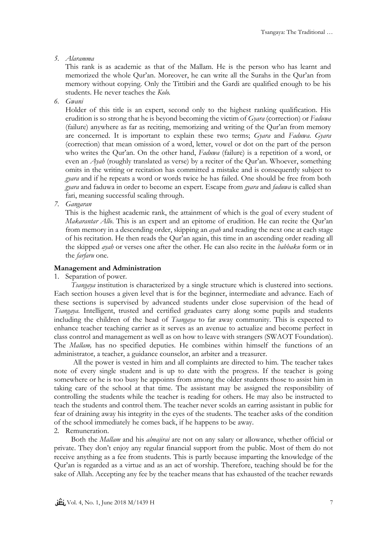### *5. Alaramma*

This rank is as academic as that of the Mallam. He is the person who has learnt and memorized the whole Qur'an. Moreover, he can write all the Surahs in the Qur'an from memory without copying. Only the Tittibiri and the Gardi are qualified enough to be his students. He never teaches the *Kolo.*

*6. Gwani*

Holder of this title is an expert, second only to the highest ranking qualification. His erudition is so strong that he is beyond becoming the victim of *Gyara* (correction) or *Faduwa* (failure) anywhere as far as reciting, memorizing and writing of the Qur'an from memory are concerned. It is important to explain these two terms; *Gyara* and *Faduwa*. *Gyara* (correction) that mean omission of a word, letter, vowel or dot on the part of the person who writes the Qur'an. On the other hand, *Faduwa* (failure) is a repetition of a word, or even an *Ayah* (roughly translated as verse) by a reciter of the Qur'an. Whoever, something omits in the writing or recitation has committed a mistake and is consequently subject to *gyara* and if he repeats a word or words twice he has failed. One should be free from both *gyara* and faduwa in order to become an expert. Escape from *gyara* and *faduwa* is called shan fari, meaning successful scaling through.

*7. Gangaran*

This is the highest academic rank, the attainment of which is the goal of every student of *Makarantar Allo*. This is an expert and an epitome of erudition. He can recite the Qur'an from memory in a descending order, skipping an *ayah* and reading the next one at each stage of his recitation. He then reads the Qur'an again, this time in an ascending order reading all the skipped *ayah* or verses one after the other. He can also recite in the *babbaku* form or in the *farfaru* one.

### **Management and Administration**

### 1. Separation of power.

*Tsangaya* institution is characterized by a single structure which is clustered into sections. Each section houses a given level that is for the beginner, intermediate and advance. Each of these sections is supervised by advanced students under close supervision of the head of *Tsangaya.* Intelligent, trusted and certified graduates carry along some pupils and students including the children of the head of *Tsangaya* to far away community. This is expected to enhance teacher teaching carrier as it serves as an avenue to actualize and become perfect in class control and management as well as on how to leave with strangers (SWAOT Foundation). The *Mallam,* has no specified deputies. He combines within himself the functions of an administrator, a teacher, a guidance counselor, an arbiter and a treasurer.

 All the power is vested in him and all complaints are directed to him. The teacher takes note of every single student and is up to date with the progress. If the teacher is going somewhere or he is too busy he appoints from among the older students those to assist him in taking care of the school at that time. The assistant may be assigned the responsibility of controlling the students while the teacher is reading for others. He may also be instructed to teach the students and control them. The teacher never scolds an earring assistant in public for fear of draining away his integrity in the eyes of the students. The teacher asks of the condition of the school immediately he comes back, if he happens to be away.

### 2. Remuneration.

Both the *Mallam* and his *almajirai* are not on any salary or allowance, whether official or private. They don't enjoy any regular financial support from the public. Most of them do not receive anything as a fee from students. This is partly because imparting the knowledge of the Qur'an is regarded as a virtue and as an act of worship. Therefore, teaching should be for the sake of Allah. Accepting any fee by the teacher means that has exhausted of the teacher rewards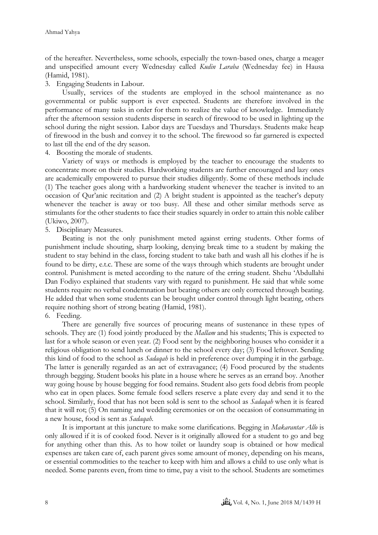of the hereafter. Nevertheless, some schools, especially the town-based ones, charge a meager and unspecified amount every Wednesday called *Kudin Laraba* (Wednesday fee) in Hausa (Hamid, 1981).

3. Engaging Students in Labour.

Usually, services of the students are employed in the school maintenance as no governmental or public support is ever expected. Students are therefore involved in the performance of many tasks in order for them to realize the value of knowledge. Immediately after the afternoon session students disperse in search of firewood to be used in lighting up the school during the night session. Labor days are Tuesdays and Thursdays. Students make heap of firewood in the bush and convey it to the school. The firewood so far garnered is expected to last till the end of the dry season.

4. Boosting the morale of students.

Variety of ways or methods is employed by the teacher to encourage the students to concentrate more on their studies. Hardworking students are further encouraged and lazy ones are academically empowered to pursue their studies diligently. Some of these methods include (1) The teacher goes along with a hardworking student whenever the teacher is invited to an occasion of Qur'anic recitation and (2) A bright student is appointed as the teacher's deputy whenever the teacher is away or too busy. All these and other similar methods serve as stimulants for the other students to face their studies squarely in order to attain this noble caliber (Ukiwo, 2007).

5. Disciplinary Measures.

Beating is not the only punishment meted against erring students. Other forms of punishment include shouting, sharp looking, denying break time to a student by making the student to stay behind in the class, forcing student to take bath and wash all his clothes if he is found to be dirty, e.t.c. These are some of the ways through which students are brought under control. Punishment is meted according to the nature of the erring student. Shehu 'Abdullahi Dan Fodiyo explained that students vary with regard to punishment. He said that while some students require no verbal condemnation but beating others are only corrected through beating. He added that when some students can be brought under control through light beating, others require nothing short of strong beating (Hamid, 1981).

## 6. Feeding.

There are generally five sources of procuring means of sustenance in these types of schools. They are (1) food jointly produced by the *Mallam* and his students; This is expected to last for a whole season or even year. (2) Food sent by the neighboring houses who consider it a religious obligation to send lunch or dinner to the school every day; (3) Food leftover. Sending this kind of food to the school as *Sadaqah* is held in preference over dumping it in the garbage. The latter is generally regarded as an act of extravagance; (4) Food procured by the students through begging. Student books his plate in a house where he serves as an errand boy. Another way going house by house begging for food remains. Student also gets food debris from people who eat in open places. Some female food sellers reserve a plate every day and send it to the school. Similarly, food that has not been sold is sent to the school as *Sadaqah* when it is feared that it will rot; (5) On naming and wedding ceremonies or on the occasion of consummating in a new house, food is sent as *Sadaqah.*

 It is important at this juncture to make some clarifications. Begging in *Makarantar Allo* is only allowed if it is of cooked food. Never is it originally allowed for a student to go and beg for anything other than this. As to how toilet or laundry soap is obtained or how medical expenses are taken care of, each parent gives some amount of money, depending on his means, or essential commodities to the teacher to keep with him and allows a child to use only what is needed. Some parents even, from time to time, pay a visit to the school. Students are sometimes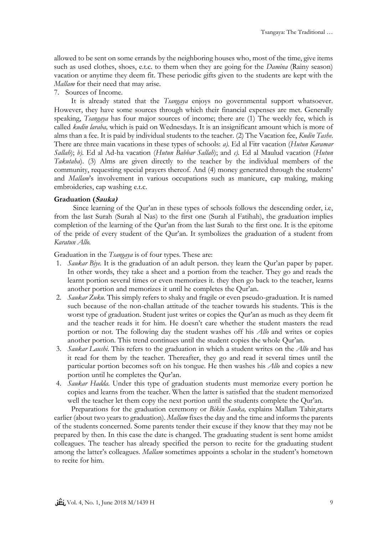allowed to be sent on some errands by the neighboring houses who, most of the time, give items such as used clothes, shoes, e.t.c. to them when they are going for the *Damina* (Rainy season) vacation or anytime they deem fit. These periodic gifts given to the students are kept with the *Mallam* for their need that may arise.

### 7. Sources of Income.

It is already stated that the *Tsangaya* enjoys no governmental support whatsoever. However, they have some sources through which their financial expenses are met. Generally speaking, *Tsangaya* has four major sources of income; there are (1) The weekly fee, which is called *kudin laraba,* which is paid on Wednesdays. It is an insignificant amount which is more of alms than a fee. It is paid by individual students to the teacher. (2) The Vacation fee, *Kudin Tashe*. There are three main vacations in these types of schools: *a).* Ed al Fitr vacation (*Hutun Karamar Sallah*); *b).* Ed al Ad-ha vacation (*Hutun Babbar Sallah*); and *c).* Ed al Maulud vacation (*Hutun Takutaha*). (3) Alms are given directly to the teacher by the individual members of the community, requesting special prayers thereof. And (4) money generated through the students' and *Mallam*'s involvement in various occupations such as manicure, cap making, making embroideries, cap washing e.t.c.

### **Graduation (Sauka)**

 Since learning of the Qur'an in these types of schools follows the descending order, i.e, from the last Surah (Surah al Nas) to the first one (Surah al Fatihah), the graduation implies completion of the learning of the Qur'an from the last Surah to the first one. It is the epitome of the pride of every student of the Qur'an. It symbolizes the graduation of a student from *Karatun Allo.*

Graduation in the *Tsangaya* is of four types. These are:

- 1. *Saukar Biye.* It is the graduation of an adult person. they learn the Qur'an paper by paper. In other words, they take a sheet and a portion from the teacher. They go and reads the learnt portion several times or even memorizes it. they then go back to the teacher, learns another portion and memorizes it until he completes the Qur'an.
- 2. *Saukar Zuku.* This simply refers to shaky and fragile or even pseudo-graduation. It is named such because of the non-challan attitude of the teacher towards his students. This is the worst type of graduation. Student just writes or copies the Qur'an as much as they deem fit and the teacher reads it for him. He doesn't care whether the student masters the read portion or not. The following day the student washes off his *Allo* and writes or copies another portion. This trend continues until the student copies the whole Qur'an.
- 3. *Saukar Laushi.* This refers to the graduation in which a student writes on the *Allo* and has it read for them by the teacher. Thereafter, they go and read it several times until the particular portion becomes soft on his tongue. He then washes his *Allo* and copies a new portion until he completes the Qur'an.
- 4. *Saukar Hadda.* Under this type of graduation students must memorize every portion he copies and learns from the teacher. When the latter is satisfied that the student memorized well the teacher let them copy the next portion until the students complete the Qur'an.

Preparations for the graduation ceremony or *Bikin Sauka*, explains Mallam Tahir, starts earlier (about two years to graduation). *Mallam* fixes the day and the time and informs the parents of the students concerned. Some parents tender their excuse if they know that they may not be prepared by then. In this case the date is changed. The graduating student is sent home amidst colleagues. The teacher has already specified the person to recite for the graduating student among the latter's colleagues. *Mallam* sometimes appoints a scholar in the student's hometown to recite for him.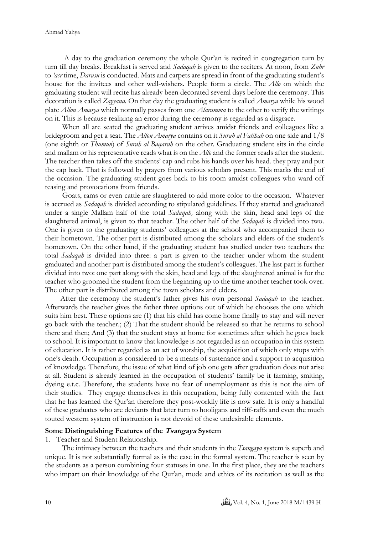A day to the graduation ceremony the whole Qur'an is recited in congregation turn by turn till day breaks. Breakfast is served and *Sadaqah* is given to the reciters. At noon, from *Zuhr*  to *'asr* time, *Darasu* is conducted. Mats and carpets are spread in front of the graduating student's house for the invitees and other well-wishers. People form a circle. The *Allo* on which the graduating student will recite has already been decorated several days before the ceremony. This decoration is called *Zayyana.* On that day the graduating student is called *Amarya* while his wood plate *Allon Amarya* which normally passes from one *Alaramma* to the other to verify the writings on it. This is because realizing an error during the ceremony is regarded as a disgrace.

When all are seated the graduating student arrives amidst friends and colleagues like a bridegroom and get a seat. The *Allon Amarya* contains on it *Surah al Fatihah* on one side and 1/8 (one eighth or *Thumun*) of *Surah al Baqarah* on the other. Graduating student sits in the circle and mallam or his representative reads what is on the *Allo* and the former reads after the student. The teacher then takes off the students' cap and rubs his hands over his head. they pray and put the cap back. That is followed by prayers from various scholars present. This marks the end of the occasion. The graduating student goes back to his room amidst colleagues who ward off teasing and provocations from friends.

 Goats, rams or even cattle are slaughtered to add more color to the occasion. Whatever is accrued as *Sadaqah* is divided according to stipulated guidelines. If they started and graduated under a single Mallam half of the total *Sadaqah,* along with the skin, head and legs of the slaughtered animal, is given to that teacher. The other half of the *Sadaqah* is divided into two. One is given to the graduating students' colleagues at the school who accompanied them to their hometown. The other part is distributed among the scholars and elders of the student's hometown. On the other hand, if the graduating student has studied under two teachers the total *Sadaqah* is divided into three: a part is given to the teacher under whom the student graduated and another part is distributed among the student's colleagues. The last part is further divided into two: one part along with the skin, head and legs of the slaughtered animal is for the teacher who groomed the student from the beginning up to the time another teacher took over. The other part is distributed among the town scholars and elders.

 After the ceremony the student's father gives his own personal *Sadaqah* to the teacher. Afterwards the teacher gives the father three options out of which he chooses the one which suits him best. These options are (1) that his child has come home finally to stay and will never go back with the teacher.; (2) That the student should be released so that he returns to school there and then; And (3) that the student stays at home for sometimes after which he goes back to school. It is important to know that knowledge is not regarded as an occupation in this system of education. It is rather regarded as an act of worship, the acquisition of which only stops with one's death. Occupation is considered to be a means of sustenance and a support to acquisition of knowledge. Therefore, the issue of what kind of job one gets after graduation does not arise at all. Student is already learned in the occupation of students' family be it farming, smiting, dyeing e.t.c. Therefore, the students have no fear of unemployment as this is not the aim of their studies. They engage themselves in this occupation, being fully contented with the fact that he has learned the Qur'an therefore they post-worldly life is now safe. It is only a handful of these graduates who are deviants that later turn to hooligans and riff-raffs and even the much touted western system of instruction is not devoid of these undesirable elements.

#### **Some Distinguishing Features of the Tsangaya System**

1. Teacher and Student Relationship.

The intimacy between the teachers and their students in the *Tsangaya* system is superb and unique. It is not substantially formal as is the case in the formal system. The teacher is seen by the students as a person combining four statuses in one. In the first place, they are the teachers who impart on their knowledge of the Qur'an, mode and ethics of its recitation as well as the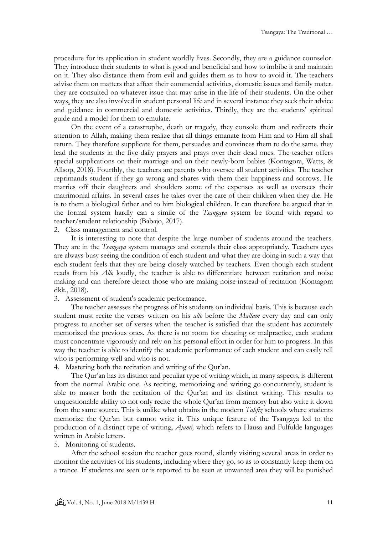procedure for its application in student worldly lives. Secondly, they are a guidance counselor. They introduce their students to what is good and beneficial and how to imbibe it and maintain on it. They also distance them from evil and guides them as to how to avoid it. The teachers advise them on matters that affect their commercial activities, domestic issues and family mater. they are consulted on whatever issue that may arise in the life of their students. On the other ways, they are also involved in student personal life and in several instance they seek their advice and guidance in commercial and domestic activities. Thirdly, they are the students' spiritual guide and a model for them to emulate.

On the event of a catastrophe, death or tragedy, they console them and redirects their attention to Allah, making them realize that all things emanate from Him and to Him all shall return. They therefore supplicate for them, persuades and convinces them to do the same. they lead the students in the five daily prayers and prays over their dead ones. The teacher offers special supplications on their marriage and on their newly-born babies (Kontagora, Watts, & Allsop, 2018). Fourthly, the teachers are parents who oversee all student activities. The teacher reprimands student if they go wrong and shares with them their happiness and sorrows. He marries off their daughters and shoulders some of the expenses as well as oversees their matrimonial affairs. In several cases he takes over the care of their children when they die. He is to them a biological father and to him biological children. It can therefore be argued that in the formal system hardly can a simile of the *Tsangaya* system be found with regard to teacher/student relationship (Babajo, 2017).

2. Class management and control.

It is interesting to note that despite the large number of students around the teachers. They are in the *Tsangaya* system manages and controls their class appropriately. Teachers eyes are always busy seeing the condition of each student and what they are doing in such a way that each student feels that they are being closely watched by teachers. Even though each student reads from his *Allo* loudly, the teacher is able to differentiate between recitation and noise making and can therefore detect those who are making noise instead of recitation (Kontagora dkk., 2018).

3. Assessment of student's academic performance.

The teacher assesses the progress of his students on individual basis. This is because each student must recite the verses written on his *allo* before the *Mallam* every day and can only progress to another set of verses when the teacher is satisfied that the student has accurately memorized the previous ones. As there is no room for cheating or malpractice, each student must concentrate vigorously and rely on his personal effort in order for him to progress. In this way the teacher is able to identify the academic performance of each student and can easily tell who is performing well and who is not.

4. Mastering both the recitation and writing of the Qur'an.

The Qur'an has its distinct and peculiar type of writing which, in many aspects, is different from the normal Arabic one. As reciting, memorizing and writing go concurrently, student is able to master both the recitation of the Qur'an and its distinct writing. This results to unquestionable ability to not only recite the whole Qur'an from memory but also write it down from the same source. This is unlike what obtains in the modern *Tahfiz* schools where students memorize the Qur'an but cannot write it. This unique feature of the Tsangaya led to the production of a distinct type of writing, *Ajami,* which refers to Hausa and Fulfulde languages written in Arabic letters.

### 5. Monitoring of students.

After the school session the teacher goes round, silently visiting several areas in order to monitor the activities of his students, including where they go, so as to constantly keep them on a trance. If students are seen or is reported to be seen at unwanted area they will be punished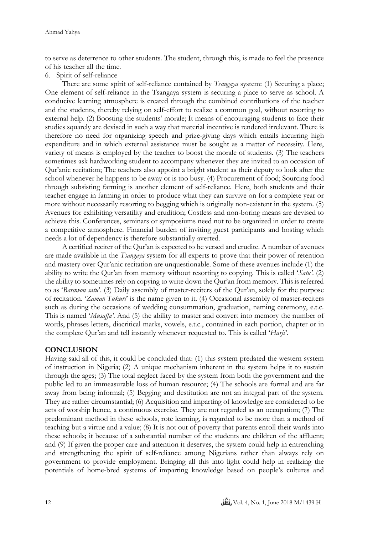to serve as deterrence to other students. The student, through this, is made to feel the presence of his teacher all the time.

6. Spirit of self-reliance

There are some spirit of self-reliance contained by *Tsangaya* system: (1) Securing a place; One element of self-reliance in the Tsangaya system is securing a place to serve as school. A conducive learning atmosphere is created through the combined contributions of the teacher and the students, thereby relying on self-effort to realize a common goal, without resorting to external help. (2) Boosting the students' morale; It means of encouraging students to face their studies squarely are devised in such a way that material incentive is rendered irrelevant. There is therefore no need for organizing speech and prize-giving days which entails incurring high expenditure and in which external assistance must be sought as a matter of necessity. Here, variety of means is employed by the teacher to boost the morale of students. (3) The teachers sometimes ask hardworking student to accompany whenever they are invited to an occasion of Qur'anic recitation; The teachers also appoint a bright student as their deputy to look after the school whenever he happens to be away or is too busy. (4) Procurement of food; Sourcing food through subsisting farming is another element of self-reliance. Here, both students and their teacher engage in farming in order to produce what they can survive on for a complete year or more without necessarily resorting to begging which is originally non-existent in the system. (5) Avenues for exhibiting versatility and erudition; Costless and non-boring means are devised to achieve this. Conferences, seminars or symposiums need not to be organized in order to create a competitive atmosphere. Financial burden of inviting guest participants and hosting which needs a lot of dependency is therefore substantially averted.

A certified reciter of the Qur'an is expected to be versed and erudite. A number of avenues are made available in the *Tsangaya* system for all experts to prove that their power of retention and mastery over Qur'anic recitation are unquestionable. Some of these avenues include (1) the ability to write the Qur'an from memory without resorting to copying. This is called '*Satu'.* (2) the ability to sometimes rely on copying to write down the Qur'an from memory. This is referred to as '*Barawon satu*'. (3) Daily assembly of master-reciters of the Qur'an, solely for the purpose of recitation. '*Zaman Tukuri*' is the name given to it. (4) Occasional assembly of master-reciters such as during the occasions of wedding consummation, graduation, naming ceremony, e.t.c. This is named '*Musaffa'*. And (5) the ability to master and convert into memory the number of words, phrases letters, diacritical marks, vowels, e.t.c., contained in each portion, chapter or in the complete Qur'an and tell instantly whenever requested to. This is called '*Harji'*.

### **CONCLUSION**

Having said all of this, it could be concluded that: (1) this system predated the western system of instruction in Nigeria; (2) A unique mechanism inherent in the system helps it to sustain through the ages; (3) The total neglect faced by the system from both the government and the public led to an immeasurable loss of human resource; (4) The schools are formal and are far away from being informal; (5) Begging and destitution are not an integral part of the system. They are rather circumstantial; (6) Acquisition and imparting of knowledge are considered to be acts of worship hence, a continuous exercise. They are not regarded as an occupation; (7) The predominant method in these schools, rote learning, is regarded to be more than a method of teaching but a virtue and a value; (8) It is not out of poverty that parents enroll their wards into these schools; it because of a substantial number of the students are children of the affluent; and (9) If given the proper care and attention it deserves, the system could help in entrenching and strengthening the spirit of self-reliance among Nigerians rather than always rely on government to provide employment. Bringing all this into light could help in realizing the potentials of home-bred systems of imparting knowledge based on people's cultures and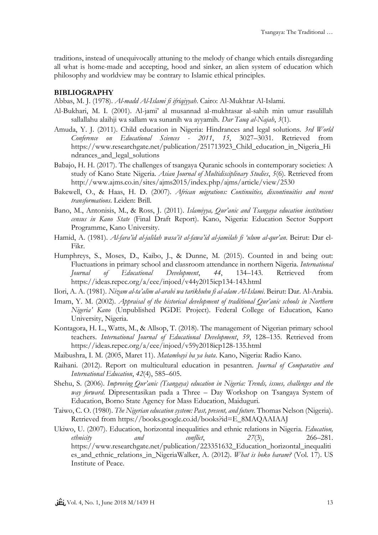traditions, instead of unequivocally attuning to the melody of change which entails disregarding all what is home-made and accepting, hood and sinker, an alien system of education which philosophy and worldview may be contrary to Islamic ethical principles.

## **BIBLIOGRAPHY**

Abbas, M. J. (1978). *Al-madd Al-Islami fi ifriqiyyah*. Cairo: Al-Mukhtar Al-Islami.

- Al-Bukhari, M. I. (2001). Al-jami' al musannad al-mukhtasar al-sahih min umur rasulillah sallallahu alaihji wa sallam wa sunanih wa ayyamih. *Dar Tauq al-Najah*, *3*(1).
- Amuda, Y. J. (2011). Child education in Nigeria: Hindrances and legal solutions. *3rd World Conference on Educational Sciences - 2011*, *15*, 3027–3031. Retrieved from https://www.researchgate.net/publication/251713923\_Child\_education\_in\_Nigeria\_Hi ndrances\_and\_legal\_solutions
- Babajo, H. H. (2017). The challenges of tsangaya Quranic schools in contemporary societies: A study of Kano State Nigeria. *Asian Journal of Multidisciplinary Studies*, *5*(6). Retrieved from http://www.ajms.co.in/sites/ajms2015/index.php/ajms/article/view/2530
- Bakewell, O., & Haas, H. D. (2007). *African migrations: Continuities, discontinuities and recent transformations*. Leiden: Brill.
- Bano, M., Antonisis, M., & Ross, J. (2011). *Islamiyya, Qur'anic and Tsangaya education institutions census in Kano State* (Final Draft Report). Kano, Nigeria: Education Sector Support Programme, Kano University.
- Hamid, A. (1981). *Al-fara'id al-jalilah wasa'it al-fawa'id al-jamilah fi 'ulum al-qur'an*. Beirut: Dar el-Fikr.
- Humphreys, S., Moses, D., Kaibo, J., & Dunne, M. (2015). Counted in and being out: Fluctuations in primary school and classroom attendance in northern Nigeria. *International Journal of Educational Development*, *44*, 134–143. Retrieved from https://ideas.repec.org/a/eee/injoed/v44y2015icp134-143.html
- Ilori, A. A. (1981). *Nizam al-ta'alim al-arabi wa tarikhuhu fi al-alam Al-Islami*. Beirut: Dar. Al-Arabia.
- Imam, Y. M. (2002). *Appraisal of the historical development of traditional Our'anic schools in Northern Nigeria' Kano* (Unpublished PGDE Project). Federal College of Education, Kano University, Nigeria.
- Kontagora, H. L., Watts, M., & Allsop, T. (2018). The management of Nigerian primary school teachers. *International Journal of Educational Development*, *59*, 128–135. Retrieved from https://ideas.repec.org/a/eee/injoed/v59y2018icp128-135.html
- Maibushra, I. M. (2005, Maret 11). *Matambayi ba ya bata*. Kano, Nigeria: Radio Kano.
- Raihani. (2012). Report on multicultural education in pesantren. *Journal of Comparative and International Education*, *42*(4), 585–605.
- Shehu, S. (2006). *Improving Qur'anic (Tsangaya) education in Nigeria: Trends, issues, challenges and the way forward*. Dipresentasikan pada a Three – Day Workshop on Tsangaya System of Education, Borno State Agency for Mass Education, Maiduguri.
- Taiwo, C. O. (1980). *The Nigerian education system: Past, present, and future*. Thomas Nelson (Nigeria). Retrieved from https://books.google.co.id/books?id=E\_8MAQAAIAAJ
- Ukiwo, U. (2007). Education, horizontal inequalities and ethnic relations in Nigeria. *Education, ethnicity and conflict*, *27*(3), 266–281. https://www.researchgate.net/publication/223351632\_Education\_horizontal\_inequaliti es\_and\_ethnic\_relations\_in\_NigeriaWalker, A. (2012). *What is boko haram?* (Vol. 17). US Institute of Peace.